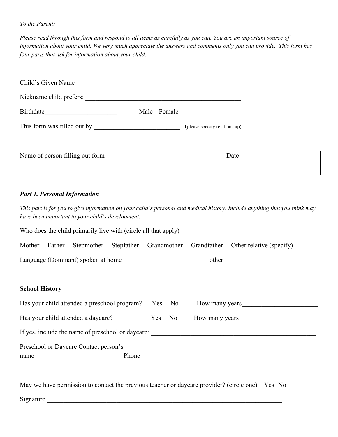#### *To the Parent:*

Please read through this form and respond to all items as carefully as you can. You are an important source of information about your child. We very much appreciate the answers and comments only you can provide. This form has *four parts that ask for information about your child.*

| Child's Given Name          |             |                               |  |
|-----------------------------|-------------|-------------------------------|--|
| Nickname child prefers:     |             |                               |  |
| Birthdate                   | Male Female |                               |  |
| This form was filled out by |             | (please specify relationship) |  |

| Name of person filling out form | Date |
|---------------------------------|------|
|                                 |      |

### *Part 1. Personal Information*

This part is for you to give information on your child's personal and medical history. Include anything that you think may *have been important to your child's development.*

Who does the child primarily live with (circle all that apply)

|  |                                    |  |       | Mother Father Stepmother Stepfather Grandmother Grandfather Other relative (specify) |
|--|------------------------------------|--|-------|--------------------------------------------------------------------------------------|
|  | Language (Dominant) spoken at home |  | other |                                                                                      |

#### **School History**

| Has your child attended a preschool program?      | Yes No | How many years |  |
|---------------------------------------------------|--------|----------------|--|
| Has your child attended a daycare?                | Yes No | How many years |  |
| If yes, include the name of preschool or daycare: |        |                |  |
| Preschool or Daycare Contact person's             |        |                |  |
| Phone<br>name                                     |        |                |  |

May we have permission to contact the previous teacher or daycare provider? (circle one) Yes No Signature  $\Box$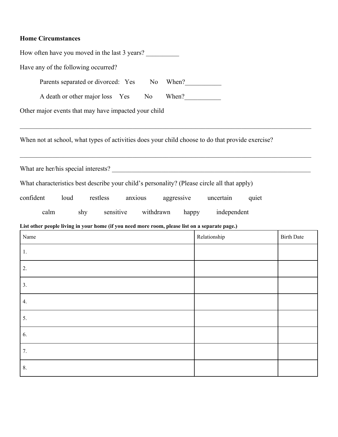## **Home Circumstances**

| How often have you moved in the last 3 years?                                                    |                                     |                   |
|--------------------------------------------------------------------------------------------------|-------------------------------------|-------------------|
| Have any of the following occurred?                                                              |                                     |                   |
| Parents separated or divorced: Yes No                                                            | When? $\frac{2}{\sqrt{2}}$          |                   |
| A death or other major loss Yes No                                                               | $When ? \underline{\qquad \qquad }$ |                   |
| Other major events that may have impacted your child                                             |                                     |                   |
| When not at school, what types of activities does your child choose to do that provide exercise? |                                     |                   |
| What are her/his special interests?                                                              |                                     |                   |
| What characteristics best describe your child's personality? (Please circle all that apply)      |                                     |                   |
| confident<br>restless<br>anxious<br>aggressive<br>loud                                           | uncertain<br>quiet                  |                   |
|                                                                                                  |                                     |                   |
| calm<br>sensitive<br>withdrawn<br>shy                                                            | independent<br>happy                |                   |
| List other people living in your home (if you need more room, please list on a separate page.)   |                                     |                   |
| Name                                                                                             | Relationship                        | <b>Birth Date</b> |
| 1.                                                                                               |                                     |                   |
| 2.                                                                                               |                                     |                   |
| 3.                                                                                               |                                     |                   |
| 4.                                                                                               |                                     |                   |
| 5.                                                                                               |                                     |                   |
| 6.                                                                                               |                                     |                   |
| 7.                                                                                               |                                     |                   |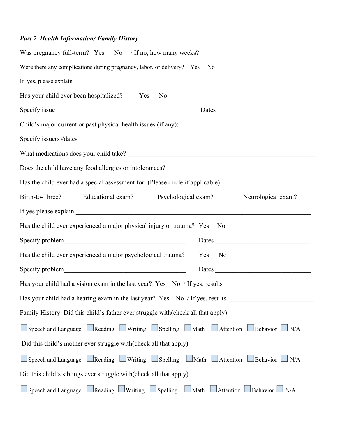# *Part 2. Health Information/ Family History*

| Was pregnancy full-term? Yes No / If no, how many weeks?                         |
|----------------------------------------------------------------------------------|
| Were there any complications during pregnancy, labor, or delivery? Yes No        |
|                                                                                  |
| Has your child ever been hospitalized? Yes<br>N <sub>0</sub>                     |
| Specify issue<br><u>Dates</u>                                                    |
| Child's major current or past physical health issues (if any):                   |
|                                                                                  |
|                                                                                  |
|                                                                                  |
| Has the child ever had a special assessment for: (Please circle if applicable)   |
| Birth-to-Three? Educational exam? Psychological exam?<br>Neurological exam?      |
|                                                                                  |
| Has the child ever experienced a major physical injury or trauma? Yes<br>No.     |
| Specify problem<br>Specify 2012<br>Dates                                         |
| Has the child ever experienced a major psychological trauma?<br>Yes No           |
| Dates                                                                            |
| Has your child had a vision exam in the last year? Yes No / If yes, results      |
| Has your child had a hearing exam in the last year? Yes No / If yes, results     |
| Family History: Did this child's father ever struggle with(check all that apply) |
| Speech and Language Reading Writing Spelling Math Attention Behavior N/A         |
| Did this child's mother ever struggle with (check all that apply)                |
| Speech and Language Reading Uniting Spelling Math Attention Behavior N/A         |
| Did this child's siblings ever struggle with (check all that apply)              |
| Speech and Language Reading Uwriting LSpelling LMath LAttention Behavior LN/A    |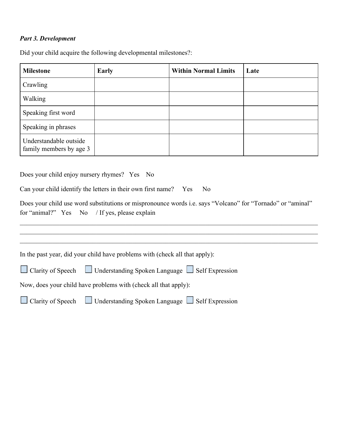### *Part 3. Development*

Did your child acquire the following developmental milestones?:

| <b>Milestone</b>                                  | <b>Early</b> | <b>Within Normal Limits</b> | Late |
|---------------------------------------------------|--------------|-----------------------------|------|
| Crawling                                          |              |                             |      |
| Walking                                           |              |                             |      |
| Speaking first word                               |              |                             |      |
| Speaking in phrases                               |              |                             |      |
| Understandable outside<br>family members by age 3 |              |                             |      |

Does your child enjoy nursery rhymes? Yes No

Can your child identify the letters in their own first name? Yes No

Does your child use word substitutions or mispronounce words i.e. says "Volcano" for "Tornado" or "aminal" for "animal?" Yes No / If yes, please explain

 $\_$  , and the contribution of the contribution of the contribution of the contribution of the contribution of  $\mathcal{L}_\text{max}$ 

| In the past year, did your child have problems with (check all that apply):          |
|--------------------------------------------------------------------------------------|
| $\Box$ Clarity of Speech $\Box$ Understanding Spoken Language $\Box$ Self Expression |
| Now, does your child have problems with (check all that apply):                      |
| $\Box$ Clarity of Speech $\Box$ Understanding Spoken Language $\Box$ Self Expression |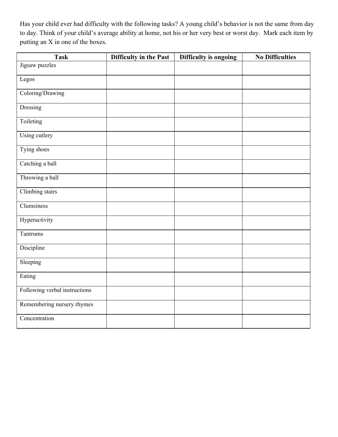Has your child ever had difficulty with the following tasks? A young child's behavior is not the same from day to day. Think of your child's average ability at home, not his or her very best or worst day. Mark each item by putting an X in one of the boxes.

| <b>Task</b>                   | Difficulty in the Past | Difficulty is ongoing | <b>No Difficulties</b> |
|-------------------------------|------------------------|-----------------------|------------------------|
| Jigsaw puzzles                |                        |                       |                        |
| Legos                         |                        |                       |                        |
| Coloring/Drawing              |                        |                       |                        |
| Dressing                      |                        |                       |                        |
| Toileting                     |                        |                       |                        |
| Using cutlery                 |                        |                       |                        |
| Tying shoes                   |                        |                       |                        |
| Catching a ball               |                        |                       |                        |
| Throwing a ball               |                        |                       |                        |
| Climbing stairs               |                        |                       |                        |
| Clumsiness                    |                        |                       |                        |
| Hyperactivity                 |                        |                       |                        |
| Tantrums                      |                        |                       |                        |
| Discipline                    |                        |                       |                        |
| Sleeping                      |                        |                       |                        |
| Eating                        |                        |                       |                        |
| Following verbal instructions |                        |                       |                        |
| Remembering nursery rhymes    |                        |                       |                        |
| Concentration                 |                        |                       |                        |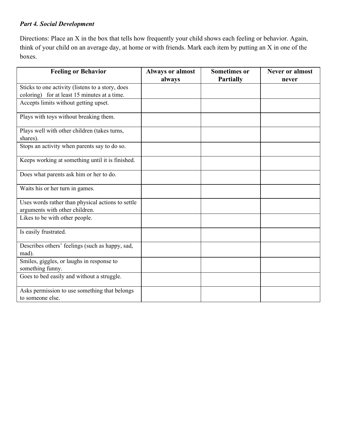### *Part 4. Social Development*

Directions: Place an X in the box that tells how frequently your child shows each feeling or behavior. Again, think of your child on an average day, at home or with friends. Mark each item by putting an X in one of the boxes.

| <b>Feeling or Behavior</b>                                        | <b>Always or almost</b><br>always | <b>Sometimes or</b><br><b>Partially</b> | <b>Never or almost</b><br>never |
|-------------------------------------------------------------------|-----------------------------------|-----------------------------------------|---------------------------------|
| Sticks to one activity (listens to a story, does                  |                                   |                                         |                                 |
| coloring) for at least 15 minutes at a time.                      |                                   |                                         |                                 |
| Accepts limits without getting upset.                             |                                   |                                         |                                 |
| Plays with toys without breaking them.                            |                                   |                                         |                                 |
| Plays well with other children (takes turns,<br>shares).          |                                   |                                         |                                 |
| Stops an activity when parents say to do so.                      |                                   |                                         |                                 |
| Keeps working at something until it is finished.                  |                                   |                                         |                                 |
| Does what parents ask him or her to do.                           |                                   |                                         |                                 |
| Waits his or her turn in games.                                   |                                   |                                         |                                 |
| Uses words rather than physical actions to settle                 |                                   |                                         |                                 |
| arguments with other children.<br>Likes to be with other people.  |                                   |                                         |                                 |
|                                                                   |                                   |                                         |                                 |
| Is easily frustrated.                                             |                                   |                                         |                                 |
| Describes others' feelings (such as happy, sad,<br>mad).          |                                   |                                         |                                 |
| Smiles, giggles, or laughs in response to<br>something funny.     |                                   |                                         |                                 |
| Goes to bed easily and without a struggle.                        |                                   |                                         |                                 |
| Asks permission to use something that belongs<br>to someone else. |                                   |                                         |                                 |